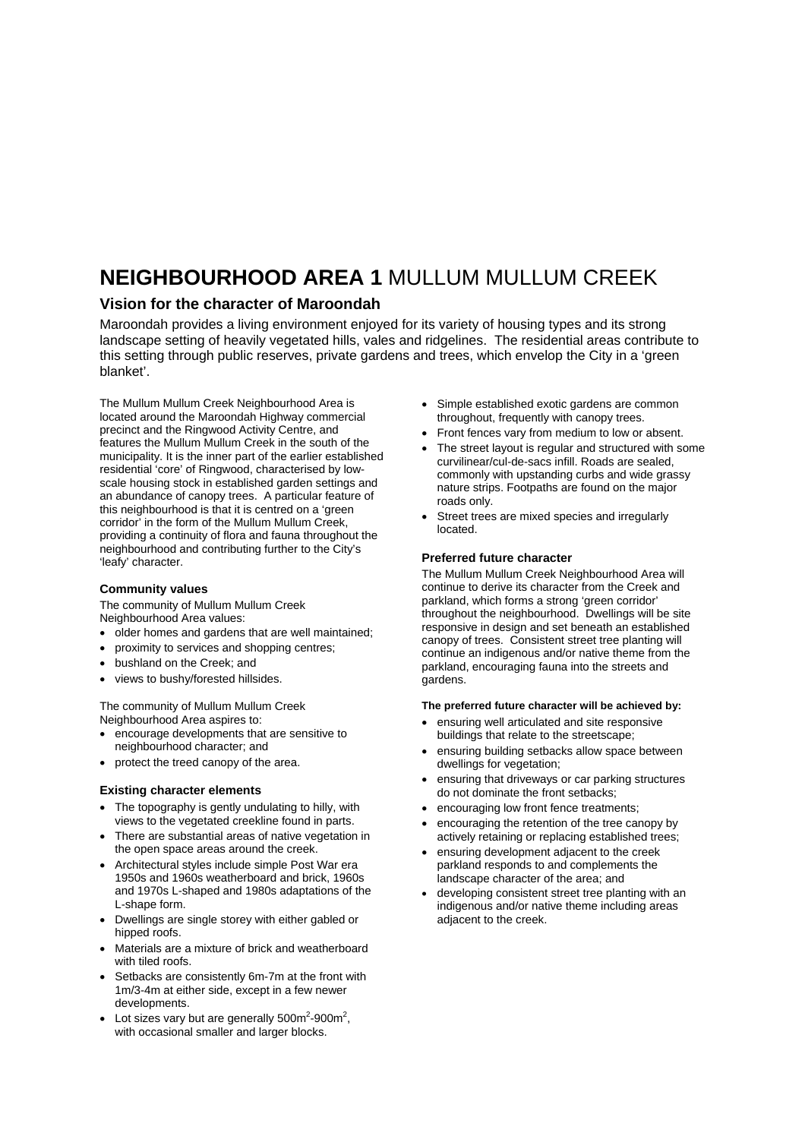## **NEIGHBOURHOOD AREA 1** MULLUM MULLUM CREEK

### **Vision for the character of Maroondah**

Maroondah provides a living environment enjoyed for its variety of housing types and its strong landscape setting of heavily vegetated hills, vales and ridgelines. The residential areas contribute to this setting through public reserves, private gardens and trees, which envelop the City in a 'green blanket'.

The Mullum Mullum Creek Neighbourhood Area is located around the Maroondah Highway commercial precinct and the Ringwood Activity Centre, and features the Mullum Mullum Creek in the south of the municipality. It is the inner part of the earlier established residential 'core' of Ringwood, characterised by lowscale housing stock in established garden settings and an abundance of canopy trees. A particular feature of this neighbourhood is that it is centred on a 'green corridor' in the form of the Mullum Mullum Creek, providing a continuity of flora and fauna throughout the neighbourhood and contributing further to the City's 'leafy' character.

#### **Community values**

The community of Mullum Mullum Creek Neighbourhood Area values:

- older homes and gardens that are well maintained;
- proximity to services and shopping centres;
- bushland on the Creek; and
- views to bushy/forested hillsides.

The community of Mullum Mullum Creek Neighbourhood Area aspires to:

- encourage developments that are sensitive to neighbourhood character; and
- protect the treed canopy of the area.

#### **Existing character elements**

- The topography is gently undulating to hilly, with views to the vegetated creekline found in parts.
- There are substantial areas of native vegetation in the open space areas around the creek.
- Architectural styles include simple Post War era 1950s and 1960s weatherboard and brick, 1960s and 1970s L-shaped and 1980s adaptations of the L-shape form.
- Dwellings are single storey with either gabled or hipped roofs.
- Materials are a mixture of brick and weatherboard with tiled roofs.
- Setbacks are consistently 6m-7m at the front with 1m/3-4m at either side, except in a few newer developments.
- Lot sizes vary but are generally  $500m^2$ -900 $m^2$ , with occasional smaller and larger blocks.
- Simple established exotic gardens are common throughout, frequently with canopy trees.
- Front fences vary from medium to low or absent.
- The street layout is regular and structured with some curvilinear/cul-de-sacs infill. Roads are sealed, commonly with upstanding curbs and wide grassy nature strips. Footpaths are found on the major roads only.
- Street trees are mixed species and irregularly located.

#### **Preferred future character**

The Mullum Mullum Creek Neighbourhood Area will continue to derive its character from the Creek and parkland, which forms a strong 'green corridor' throughout the neighbourhood. Dwellings will be site responsive in design and set beneath an established canopy of trees. Consistent street tree planting will continue an indigenous and/or native theme from the parkland, encouraging fauna into the streets and gardens.

#### **The preferred future character will be achieved by:**

- ensuring well articulated and site responsive buildings that relate to the streetscape;
- ensuring building setbacks allow space between dwellings for vegetation:
- ensuring that driveways or car parking structures do not dominate the front setbacks;
- encouraging low front fence treatments;
- encouraging the retention of the tree canopy by actively retaining or replacing established trees;
- ensuring development adjacent to the creek parkland responds to and complements the landscape character of the area; and
- developing consistent street tree planting with an indigenous and/or native theme including areas adjacent to the creek.